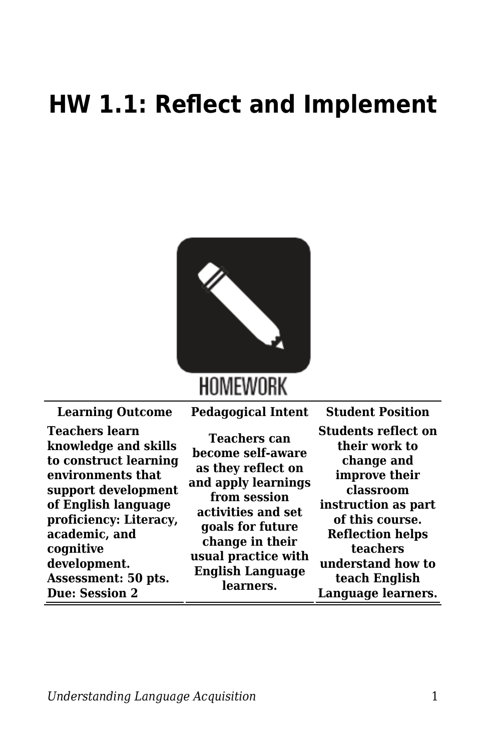## **HW 1.1: Reflect and Implement**



| <b>Learning Outcome</b>                                                                                                                                                                                                                  | <b>Pedagogical Intent</b>                                                                                                                                                                                     | <b>Student Position</b>                                                                                                                                                                                        |
|------------------------------------------------------------------------------------------------------------------------------------------------------------------------------------------------------------------------------------------|---------------------------------------------------------------------------------------------------------------------------------------------------------------------------------------------------------------|----------------------------------------------------------------------------------------------------------------------------------------------------------------------------------------------------------------|
| <b>Teachers learn</b><br>knowledge and skills<br>to construct learning<br>environments that<br>support development<br>of English language<br>proficiency: Literacy,<br>academic, and<br>cognitive<br>development.<br>Assessment: 50 pts. | Teachers can<br>become self-aware<br>as they reflect on<br>and apply learnings<br>from session<br>activities and set<br>goals for future<br>change in their<br>usual practice with<br><b>English Language</b> | <b>Students reflect on</b><br>their work to<br>change and<br>improve their<br>classroom<br>instruction as part<br>of this course.<br><b>Reflection helps</b><br>teachers<br>understand how to<br>teach English |
| <b>Due: Session 2</b>                                                                                                                                                                                                                    | learners.                                                                                                                                                                                                     | Language learners.                                                                                                                                                                                             |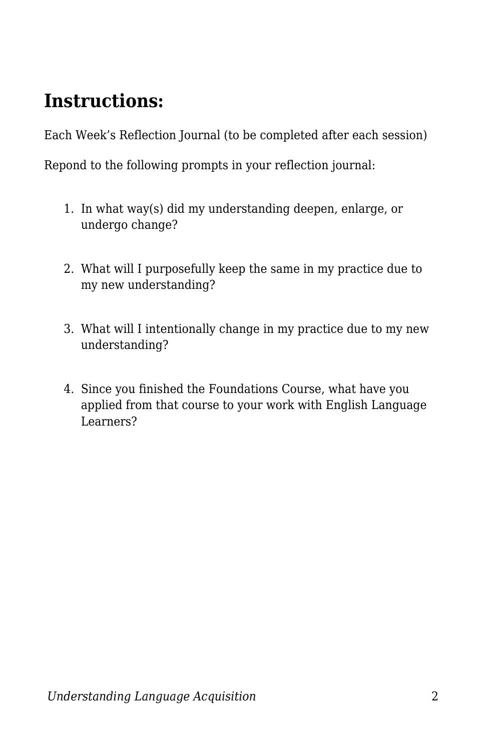## **Instructions:**

Each Week's Reflection Journal (to be completed after each session)

Repond to the following prompts in your reflection journal:

- 1. In what way(s) did my understanding deepen, enlarge, or undergo change?
- 2. What will I purposefully keep the same in my practice due to my new understanding?
- 3. What will I intentionally change in my practice due to my new understanding?
- 4. Since you finished the Foundations Course, what have you applied from that course to your work with English Language Learners?